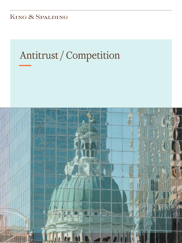KING & SPALDING

# Antitrust / Competition

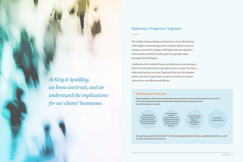We combine deep knowledge and experience across all industries with a highly commercial approach to help our clients execute on strategic transactions, navigate challenging antitrust regulatory environments and find favorable paths through high-stakes investigations and disputes.

A hallmark of our Antitrust Practice is a dedication to partnering on all levels, both within the firm and with in-house counsel. We work to understand not just our clients' legal needs but also their business needs to provide comprehensive, creative and solution-oriented advice that is cost-effective and efficient.

## Experience. Perspective. Judgment.

*At King & Spalding, we know antitrust, and we understand the implications for our clients' businesses.*

#### **FIRSTHAND AGENCY KNOWLEDGE**

King & Spalding's antitrust team includes attorneys who have served in senior positions in U.S. antitrust enforcement agencies and have firsthand knowledge of how those agencies work. Our antitrust lawyers include:

We regularly appear before the DOJ, FTC, state attorneys general and other key competition authorities, as well

as before the European Commission.

Former Deputy Assistant Attorney General for Criminal Enforcement in the Department of Justice's Antitrust Division

Former Deputy Bureau Director and Deputy Assistant Director of the Federal Trade Commission

Former FTC staff lawyers in the Mergers I and Mergers IV Divisions

Former DOJ lead prosecutors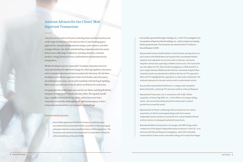• Successfully represented Energizer Holdings, Inc., in the FTC's investigation into its acquisition of Spectrum Brands Holdings, Inc., which combines two leading

• Represented Ochsner Health System in the formation and operation of a joint venture with Slidell Memorial Hospital that consolidated Slidell's hospital's service lines operating in Slidell's service area. The transaction was the subject of FTC, DOJ and AG investigations in 2016 and 2017. A prior merger between Slidell and the Ochsner community hospital (then owned by Tenet) was abandoned in 2003 in the face of FTC opposition (DOJ and FTC highlighted this opposition in a later policy statement). We achieved clearance for the joint venture with no enforcement action.

- battery product brands. The transaction was cleared by the FTC without a Second Request in 2018.
- inpatient and outpatient service lines with an Ochsner community
- 
- Represented Transocean Ltd. in connection with its \$2.7 billion acquisition of Ocean Rig UDW, Inc., in the offshore oil and gas drilling sector, and successfully obtained antitrust clearances in several jurisdictions around the world.
- Represented LS Power in obtaining antitrust clearances for various acquisitions of electric power-generating assets from several antitrust advice on subsequent potential transactions.
- extensive DOJ Second Request investigation, which DOJ ultimately

• Successfully represented EndoChoice in a merger with competitor Boston Scientific, achieving FTC clearance without a Second Request.

independent power producers around the U.S., and providedcontinued

• Represented Mirant Corporation in its merger with RRI Energy, which created one of the largest independent power producers in the U.S., in an closed without further action and without filing suit to enjoin the merger.

## Antitrust Advisors for Our Clients' Most Important Transactions

A key focus of our Antitrust Practice is advising clients and their boards across a wide range of industries on the antitrust risks of, and obtaining agency approvals for, national and international mergers, joint ventures, and other strategic alliances. Our clients include leading companies and private equity firms across a wide range of industries, including chemicals, consumer products, energy, financial services, and healthcare and pharmaceuticals, among others.

We have developed a proven "game plan" to analyze substantive antitrust issues and develop and implement strategy for achieving regulatory clearances and to evaluate implications of antitrust analysis for deal terms. We also have developed a cost-effective approach to Hart-Scott-Rodino and, if necessary, Second Request processes, and we work seamlessly with the King & Spalding M&A team to provide state-of-the-art advice on all facets of a transaction.

Our game plan has yielded major successes for our clients, including WestRock, Energizer, Ochsner Health System and many others. We regularly handle large, complex transactions for our clients, and we have never had a transaction successfully challenged by any enforcement agency or had a transaction abandoned due to an investigation or challenge.

#### **REPRESENTATIVE MATTERS**

• Successfully represented WestRock Company on antitrust issues associated with its proposed \$4.9 billion acquisition of fellow packaging and paper materials company KapStone Paper and Packaging Corp. The transaction was cleared by the Department of Justice Antitrust Division without divestitures at the end of 2018.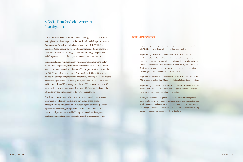## A Go-To Firm for Global Antitrust Investigations

Our lawyers have played substantial roles defending clients in nearly every major global cartel investigation in the past decade, including Diesel, Ocean Shipping, Auto Parts, Foreign Exchange Currency, LIBOR, TFT-LCD, Municipal Bonds, and Air Cargo. Investigations in connection with many of these matters were and are being conducted by various global jurisdictions, including Brazil, Canada, the EC, Japan, Korea, the UK and the U.S.

Our antitrust group works seamlessly with the lawyers in our white-collar criminal defense practice, known as the Special Matters group. The Special Matters group was recently voted as one of the top practices in the U. S. in the Law360 "Practice Groups of the Year" awards. Over 100 King & Spalding professionals bring prior government experience, including the recently added former Acting Attorney General Sally Yates, as well as former U.S. attorneys and former assistant U.S. attorneys, and former SEC enforcement heads. We have handled investigations before 73 of the 93 U.S. Attorneys' Offices in the U.S. and every litigating division of the Justice Department.

Drawing on our extensive enforcement backgrounds and private practice experience, we effectively guide clients through all phases of these investigations, including simultaneously seeking and prioritizing leniency agreements in multiple global jurisdictions, as well as through search warrants, subpoenas, "dawn raids," "drop-in" interviews of corporate employees, immunity and plea negotiations, and, where necessary, trial.

#### **REPRESENTATIVE MATTERS**

• Representing a major global energy company as the amnesty applicant in

• Representing Porsche AG and Porsche Cars North America, Inc., in an antitrust cartel matter in which multiple class action complaints have been filed in various U.S. federal courts alleging that Porsche and other German auto manufacturers (including Daimler, BMW, Volkswagen and

• Representing Porsche AG and Porsche Cars North America, Inc., in the FTC's recent investigation of false advertising of clean diesel emissions.

- a DOJ bid-rigging and market manipulation investigation.
- Audi) have engaged in a long-running antitrust conspiracy regarding technological advancements, features and costs.
- 
- executives from various auto parts companies in a multijurisdictional cartel investigation and related civil proceedings.
- Serving as lead counsel to a global financial institution in investigations exchange rates and bid-ask spreads shown to clients.

• Representing an international auto parts manufacturer and several senior

being conducted by numerous domestic and foreign regulatory authorities involving currency exchange rates and parallel antitrust litigation alleging that foreign currency dealers conspired to manipulate benchmark currency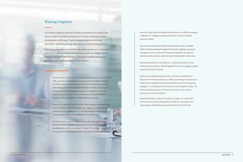• Served as lead counsel for Kemira Chemicals, Inc., in an MDL proceeding

both class and nonclass, filed throughout the country alleging a global

- in Newark, N.J., alleging conspiracy to fix prices in the sale of liquid aluminum sulfate.
- Served as lead counsel for InterContinental Hotels Group in multiple antitrust actions pending throughout the country alleging a conspiracy among hotel chains to eliminate interbrand competition for keyword internet searches used by customers when booking hotel rooms online.
- Represented UCB S.A. and UCB, Inc., in federal and state actions, cartel in the sale of vitamins.
- Achieved a complete dismissal with no monetary settlement for Rouses Point Pharmaceuticals in an MDL proceeding in Pennsylvania federal court alleging that more than 20 pharmaceutical companies client was dismissed prior to discovery and prior to the court's decision on motions to dismiss.
- Represented *Warren General Hospital v. Amgen, Inc.*, 643 F.3d 77 (antitrust class action seeking billions of dollars in damages from client Amgen; 12(b)(6) dismissal affirmed by the Third Circuit).

engaged in a conspiracy to fix the prices of various generic drugs. Our

## Winning Litigation

Our antitrust litigation experience includes substantial civil consumer class actions, sensitive (and often simultaneous) civil and criminal government investigations, and strategic litigation among competitors involving distribution, marketing, pricing, advertising and other business practices.

Our antitrust litigation team includes some of the top antitrust trial attorneys in the U.S., as well as a deep bench of trial lawyers who try complex "bet the company" cases throughout the U.S., including 12 members and two past presidents of the American College of Trial Lawyers.

#### **REPRESENTATIVE MATTERS**

- Served as lead counsel for InterContinental Hotels Group in a consolidated MDL proceeding alleging federal and state antitrust violations relating to online booking of hotel rooms (In re: On-Line Travel Company (OTC)/ Hotel Booking Antitrust Litigation). Prevailed on motion to dismiss and recognized by Global Competition Review as co-litigator of the week. Learn more at http://globalcompetitionreview.com/article/1058981/ litigators-of-the-week-jeffrey-cashdan-and-thomas-barnett.
- Served as co-lead counsel for The Coca-Cola Company in an action filed in New York by its chief rival, PepsiCo, Inc., alleging monopolization and attempted monopolization of the purported market for fountain syrup distributed by certain independent food service distributors.
- Served as lead counsel for Progressive Casualty Insurance Corp. (and related affiliates) in dozens of antitrust actions and a RICO class action consolidated in an MDL proceeding in Orlando, Fla., alleging a conspiracy among insurance companies related to labor rates for automobile repairs.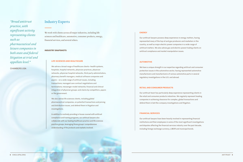### Industry Experts

We work with clients across all major industries, including life sciences and healthcare, automotive, consumer products, energy, financial services, and several others.

#### **INDUSTRY SNAPSHOTS**

#### **LIFE SCIENCES AND HEALTHCARE**

We advise a broad range of healthcare clients—health systems, hospitals, hospital networks, physician practices, physician networks, physician hospital networks, third-party administrators, pharmacy benefit managers, medical software companies and payors – on a wide range of antitrust issues, including transactions; managed care contract negotiations and terminations; messenger model networks; financial and clinical integration of physician groups; and claims by competitors, payors or the government.

We also advise life sciences clients, including global pharmaceutical companies, on potential transactions and pricing and distribution issues, and defend them in litigation and investigations.

In addition to routinely providing in-house counsel with antitrust compliance and training programs, our antitrust lawyers also collaborate with our leading healthcare practice and life sciences practice groups, leveraging those groups' comprehensive understanding of the products and markets involved.

*"Broad antitrust practice, with significant activity representing clients such as pharmaceutical and leisure companies in both state and federal litigation at trial and appellate level."* 

CHAMBERS USA

#### **ENERGY**

Our antitrust lawyers possess deep experience in energy matters, having represented many of the top oil and gas producers and marketers in the country, as well as major electric power companies in a wide range of antitrust matters. We also advise gas and electric power-trading clients on antitrust compliance and market manipulation issues.

#### **AUTOMOTIVE**

We have a unique strength in our expertise regarding antitrust and consumer protection issues in the automotive sector, having represented automotive manufacturers and manufacturers of various automotive parts in several regulatory investigations in the U.S. and abroad.

### **RETAIL AND CONSUMER PRODUCTS**

Our antitrust team has particularly deep experience representing clients in the retail and consumer products industries. We regularly represent leading companies in achieving clearance for complex, global transactions and defend them in bet-the-company investigations and litigation.

#### **FINANCIAL SERVICES**

Our antitrust lawyers have been heavily involved in representing financial institutions and their employees in some of the most significant investigations and disputes affecting the financial services industry over the past decade, including foreign exchange currency, LIBOR and municipal bonds.